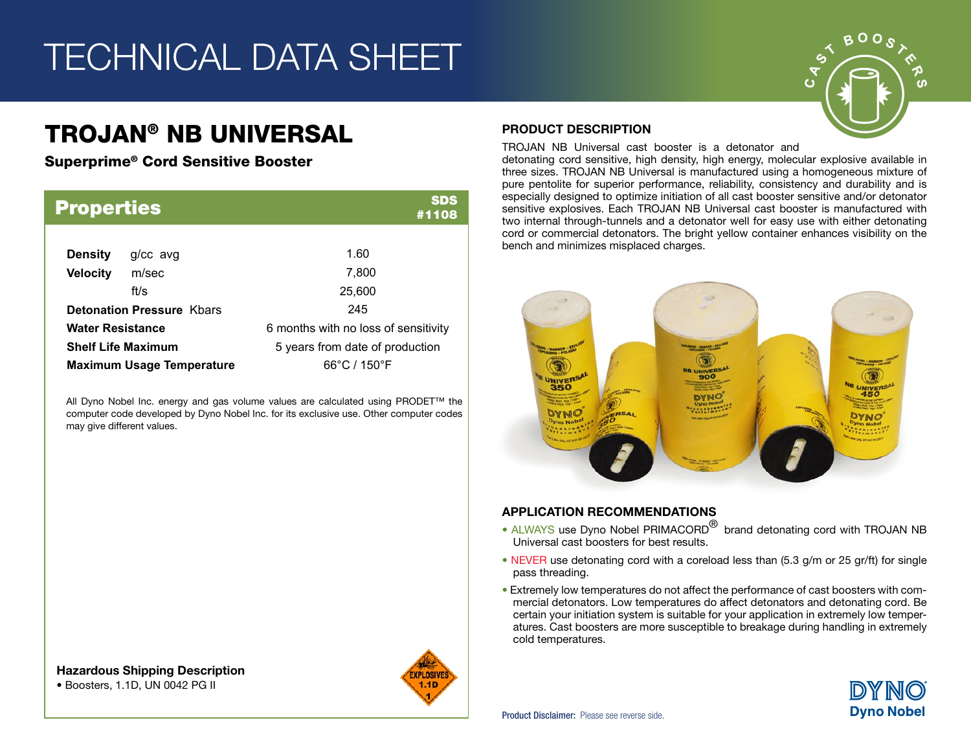## TECHNICAL DATA SHEET

### TROJAN® NB UNIVERSAL

Superprime® Cord Sensitive Booster

| <b>Properties</b>                |            | <b>SDS</b><br>#1108                  |  |  |  |
|----------------------------------|------------|--------------------------------------|--|--|--|
| <b>Density</b>                   | $g/cc$ avg | 1.60                                 |  |  |  |
| <b>Velocity</b>                  | m/sec      | 7,800                                |  |  |  |
|                                  | ft/s       | 25,600                               |  |  |  |
| <b>Detonation Pressure Kbars</b> |            | 245                                  |  |  |  |
| <b>Water Resistance</b>          |            | 6 months with no loss of sensitivity |  |  |  |
| <b>Shelf Life Maximum</b>        |            | 5 years from date of production      |  |  |  |
| <b>Maximum Usage Temperature</b> |            | 66°C / 150°F                         |  |  |  |

All Dyno Nobel Inc. energy and gas volume values are calculated using PRODET™ the computer code developed by Dyno Nobel Inc. for its exclusive use. Other computer codes may give different values.

#### PRODUCT DESCRIPTION

TROJAN NB Universal cast booster is a detonator and

detonating cord sensitive, high density, high energy, molecular explosive available in three sizes. TROJAN NB Universal is manufactured using a homogeneous mixture of pure pentolite for superior performance, reliability, consistency and durability and is especially designed to optimize initiation of all cast booster sensitive and/or detonator sensitive explosives. Each TROJAN NB Universal cast booster is manufactured with two internal through-tunnels and a detonator well for easy use with either detonating cord or commercial detonators. The bright yellow container enhances visibility on the bench and minimizes misplaced charges.



### APPLICATION RECOMMENDATIONS

- ALWAYS use Dyno Nobel PRIMACORD<sup>®</sup> brand detonating cord with TROJAN NB Universal cast boosters for best results.
- NEVER use detonating cord with a coreload less than (5.3 g/m or 25 gr/ft) for single pass threading.
- Extremely low temperatures do not affect the performance of cast boosters with commercial detonators. Low temperatures do affect detonators and detonating cord. Be certain your initiation system is suitable for your application in extremely low temperatures. Cast boosters are more susceptible to breakage during handling in extremely cold temperatures.